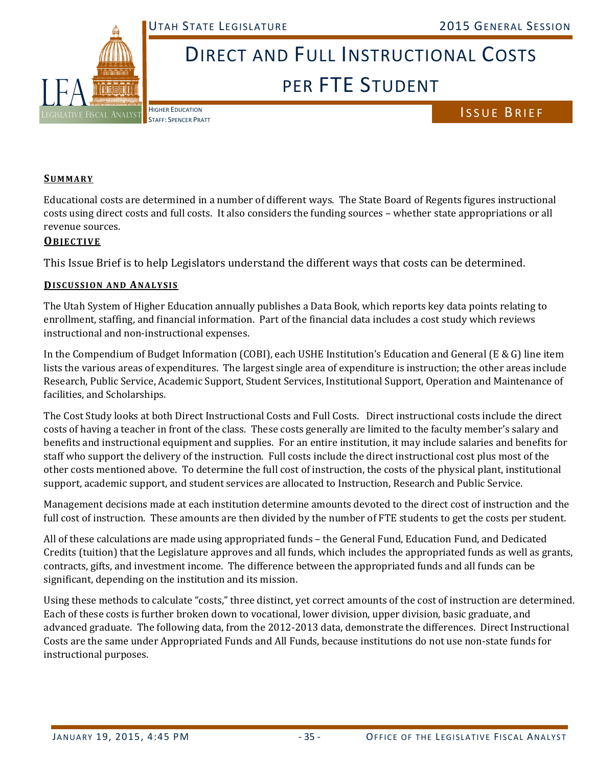

# DIRECT AND FULL INSTRUCTIONAL COSTS PER FTE STUDENT

**HIGHER EDUCATION** 

HIGHER EDUCATION<br>STAFF: SPENCER PRATT

#### **SUMMARY**

Educational costs are determined in a number of different ways. The State Board of Regents figures instructional costs using direct costs and full costs. It also considers the funding sources – whether state appropriations or all revenue sources.

### **OBJECTIVE**

This Issue Brief is to help Legislators understand the different ways that costs can be determined.

#### **DISCUSSION AND ANALYSIS**

The Utah System of Higher Education annually publishes a Data Book, which reports key data points relating to enrollment, staffing, and financial information. Part of the financial data includes a cost study which reviews instructional and non-instructional expenses.

In the Compendium of Budget Information (COBI), each USHE Institution's Education and General (E & G) line item lists the various areas of expenditures. The largest single area of expenditure is instruction; the other areas include Research, Public Service, Academic Support, Student Services, Institutional Support, Operation and Maintenance of facilities, and Scholarships.

The Cost Study looks at both Direct Instructional Costs and Full Costs. Direct instructional costs include the direct costs of having a teacher in front of the class. These costs generally are limited to the faculty member's salary and benefits and instructional equipment and supplies. For an entire institution, it may include salaries and benefits for staff who support the delivery of the instruction. Full costs include the direct instructional cost plus most of the other costs mentioned above. To determine the full cost of instruction, the costs of the physical plant, institutional support, academic support, and student services are allocated to Instruction, Research and Public Service.

Management decisions made at each institution determine amounts devoted to the direct cost of instruction and the full cost of instruction. These amounts are then divided by the number of FTE students to get the costs per student.

All of these calculations are made using appropriated funds – the General Fund, Education Fund, and Dedicated Credits (tuition) that the Legislature approves and all funds, which includes the appropriated funds as well as grants, contracts, gifts, and investment income. The difference between the appropriated funds and all funds can be significant, depending on the institution and its mission.

Using these methods to calculate "costs," three distinct, yet correct amounts of the cost of instruction are determined. Each of these costs is further broken down to vocational, lower division, upper division, basic graduate, and advanced graduate. The following data, from the 2012-2013 data, demonstrate the differences. Direct Instructional Costs are the same under Appropriated Funds and All Funds, because institutions do not use non-state funds for instructional purposes.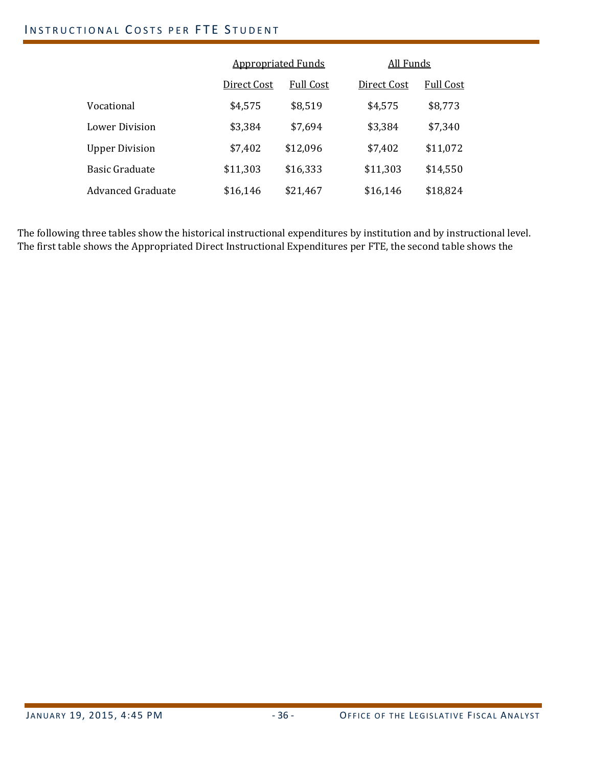## INSTRUCTIONAL COSTS PER FTE STUDENT

|                       | <b>Appropriated Funds</b> |                  | All Funds   |           |  |  |  |
|-----------------------|---------------------------|------------------|-------------|-----------|--|--|--|
|                       | Direct Cost               | <b>Full Cost</b> | Direct Cost | Full Cost |  |  |  |
| Vocational            | \$4,575                   | \$8,519          | \$4,575     | \$8,773   |  |  |  |
| Lower Division        | \$3,384                   | \$7,694          | \$3,384     | \$7,340   |  |  |  |
| <b>Upper Division</b> | \$7,402                   | \$12,096         | \$7,402     | \$11,072  |  |  |  |
| <b>Basic Graduate</b> | \$11,303                  | \$16,333         | \$11,303    | \$14,550  |  |  |  |
| Advanced Graduate     | \$16,146                  | \$21,467         | \$16,146    | \$18,824  |  |  |  |

The following three tables show the historical instructional expenditures by institution and by instructional level. The first table shows the Appropriated Direct Instructional Expenditures per FTE, the second table shows the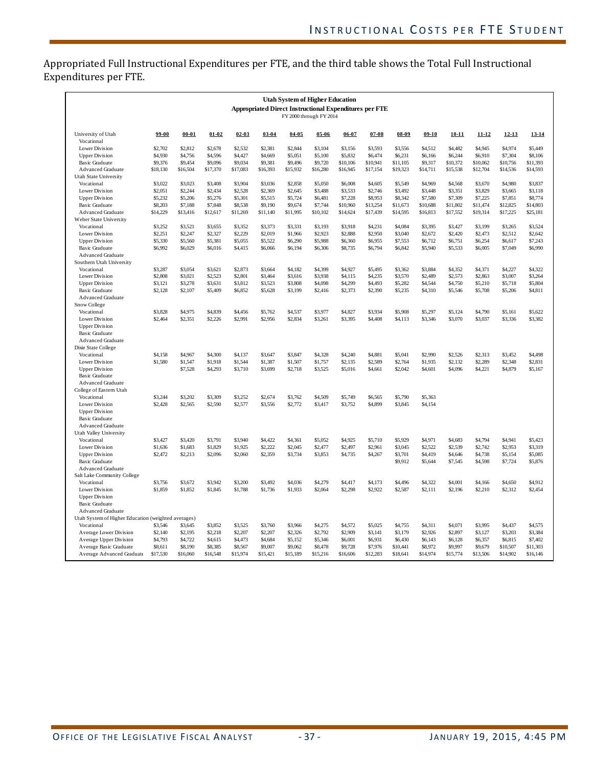Appropriated Full Instructional Expenditures per FTE, and the third table shows the Total Full Instructional Expenditures per FTE.

| <b>Utah System of Higher Education</b><br><b>Appropriated Direct Instructional Expenditures per FTE</b><br>FY 2000 through FY 2014 |                     |                     |                     |                     |                     |                     |                     |                      |                     |                      |                     |                     |                     |                      |                      |
|------------------------------------------------------------------------------------------------------------------------------------|---------------------|---------------------|---------------------|---------------------|---------------------|---------------------|---------------------|----------------------|---------------------|----------------------|---------------------|---------------------|---------------------|----------------------|----------------------|
| University of Utah                                                                                                                 | $99 - 00$           | $00 - 01$           | $01 - 02$           | $02 - 03$           | $03 - 04$           | $04 - 05$           | $05 - 06$           | $06 - 07$            | $07 - 08$           | $08 - 09$            | $09-10$             | $10 - 11$           | $11 - 12$           | $12 - 13$            | 13-14                |
| Vocational                                                                                                                         |                     |                     |                     |                     |                     |                     |                     |                      |                     |                      |                     |                     |                     |                      |                      |
| Lower Division                                                                                                                     | \$2,702             | \$2,812             | \$2,678             | \$2,532             | \$2,381             | \$2,844             | \$3,104             | \$3,156              | \$3,593             | \$3,556              | \$4,512             | \$4.482             | \$4,945             | \$4,974              | \$5,449              |
| <b>Upper Division</b>                                                                                                              | \$4,930<br>\$9,376  | \$4,756<br>\$9,454  | \$4,596<br>\$9,096  | \$4,427<br>\$9,034  | \$4,669<br>\$9,381  | \$5,051<br>\$9,496  | \$5,100             | \$5,832              | \$6,474<br>\$10,941 | \$6,231              | \$6,166             | \$6,244<br>\$10,372 | \$6,910<br>\$10,062 | \$7,304              | \$8,106              |
| <b>Basic Graduate</b><br><b>Advanced Graduate</b>                                                                                  | \$18,130            | \$16,504            | \$17,370            | \$17,083            | \$16,393            | \$15,932            | \$9,720<br>\$16,280 | \$10,106<br>\$16,945 | \$17,154            | \$11,105<br>\$19,323 | \$9,317<br>\$14,711 | \$15,538            | \$12,704            | \$10,756<br>\$14,536 | \$11,393<br>\$14,593 |
| Utah State University                                                                                                              |                     |                     |                     |                     |                     |                     |                     |                      |                     |                      |                     |                     |                     |                      |                      |
| Vocational                                                                                                                         | \$3,022             | \$3,023             | \$3,408             | \$3,904             | \$3,036             | \$2,858             | \$5,050             | \$6,008              | \$4,605             | \$5,549              | \$4,969             | \$4,568             | \$3,670             | \$4,980              | \$3,837              |
| Lower Division                                                                                                                     | \$2,051             | \$2,244             | \$2,434             | \$2,528             | \$2,369             | \$2,645             | \$3,488             | \$3,533              | \$2,746             | \$3,492              | \$3,448             | \$3,351             | \$3,829             | \$3,665              | \$3,118              |
| <b>Upper Division</b>                                                                                                              | \$5,232             | \$5,206             | \$5,276             | \$5,301             | \$5,515             | \$5,724             | \$6,481             | \$7,228              | \$8,953             | \$8,342              | \$7,580             | \$7,309             | \$7,225             | \$7,851              | \$8,774              |
| <b>Basic Graduate</b>                                                                                                              | \$8,203             | \$7,188             | \$7,848             | \$8,538             | \$9,190             | \$9,674             | \$7,744             | \$10,960             | \$13,254            | \$11,673             | \$10,688            | \$11,802            | \$11,474            | \$12,825             | \$14,803             |
| <b>Advanced Graduate</b>                                                                                                           | \$14,229            | \$13,416            | \$12,617            | \$11,269            | \$11,140            | \$11,995            | \$10,102            | \$14,624             | \$17,439            | \$14,595             | \$16,813            | \$17,552            | \$19,314            | \$17,225             | \$25,181             |
| Weber State University<br>Vocational                                                                                               | \$3,252             | \$3,521             | \$3,655             | \$3,352             | \$3,373             | \$3,331             | \$3,193             | \$3,918              | \$4,231             | \$4,084              | \$3,395             | \$3,427             | \$3,199             | \$3,265              | \$3,524              |
| Lower Division                                                                                                                     | \$2,251             | \$2,247             | \$2,327             | \$2,229             | \$2,019             | \$1,966             | \$2,923             | \$2,888              | \$2,950             | \$3,040              | \$2,672             | \$2,420             | \$2,473             | \$2,512              | \$2,642              |
| <b>Upper Division</b>                                                                                                              | \$5,330             | \$5,560             | \$5,381             | \$5,055             | \$5,522             | \$6,290             | \$5,988             | \$6,360              | \$6,955             | \$7,553              | \$6,712             | \$6,751             | \$6,254             | \$6,617              | \$7,243              |
| Basic Graduate                                                                                                                     | \$6,992             | \$6,029             | \$6,016             | \$4,415             | \$6,066             | \$6,194             | \$6,306             | \$8,735              | \$6,794             | \$6,842              | \$5,940             | \$5,533             | \$6,005             | \$7,049              | \$6,990              |
| <b>Advanced Graduate</b>                                                                                                           |                     |                     |                     |                     |                     |                     |                     |                      |                     |                      |                     |                     |                     |                      |                      |
| Southern Utah University                                                                                                           |                     |                     |                     |                     |                     |                     |                     |                      |                     |                      |                     |                     |                     |                      |                      |
| Vocational                                                                                                                         | \$3,287             | \$3,054             | \$3,621             | \$2,873             | \$3,664             | \$4,182             | \$4,399             | \$4,927              | \$5,495             | \$3,362              | \$3,884             | \$4,352             | \$4,371             | \$4,227              | \$4,322              |
| Lower Division                                                                                                                     | \$2,808             | \$3,021             | \$2,523             | \$2,801             | \$3,464             | \$3,616             | \$3,938             | \$4,115              | \$4,235             | \$3,570              | \$2,489             | \$2,573             | \$2,863             | \$3,007              | \$3,264              |
| <b>Upper Division</b>                                                                                                              | \$3.121<br>\$2,128  | \$3,278<br>\$2,107  | \$3,631<br>\$5,409  | \$3,812<br>\$6,852  | \$3,523<br>\$5,628  | \$3,808<br>\$3,199  | \$4,098<br>\$2,416  | \$4,299<br>\$2,373   | \$4,493<br>\$2,390  | \$5,282<br>\$5,235   | \$4,544<br>\$4,310  | \$4,750<br>\$5,546  | \$5,210<br>\$5,708  | \$5,718<br>\$5,206   | \$5,804<br>\$4,811   |
| <b>Basic Graduate</b><br>Advanced Graduate                                                                                         |                     |                     |                     |                     |                     |                     |                     |                      |                     |                      |                     |                     |                     |                      |                      |
| Snow College                                                                                                                       |                     |                     |                     |                     |                     |                     |                     |                      |                     |                      |                     |                     |                     |                      |                      |
| Vocational                                                                                                                         | \$3,828             | \$4,975             | \$4,839             | \$4,456             | \$5,762             | \$4,537             | \$3,977             | \$4,827              | \$3,934             | \$5,908              | \$5,297             | \$5.124             | \$4,790             | \$5,161              | \$5,622              |
| Lower Division                                                                                                                     | \$2,464             | \$2,351             | \$2,226             | \$2,991             | \$2,956             | \$2,834             | \$3,261             | \$3,395              | \$4,408             | \$4,113              | \$3,346             | \$3,070             | \$3,037             | \$3,336              | \$3,382              |
| <b>Upper Division</b>                                                                                                              |                     |                     |                     |                     |                     |                     |                     |                      |                     |                      |                     |                     |                     |                      |                      |
| <b>Basic Graduate</b>                                                                                                              |                     |                     |                     |                     |                     |                     |                     |                      |                     |                      |                     |                     |                     |                      |                      |
| Advanced Graduate                                                                                                                  |                     |                     |                     |                     |                     |                     |                     |                      |                     |                      |                     |                     |                     |                      |                      |
| Dixie State College                                                                                                                |                     |                     |                     |                     |                     |                     |                     |                      |                     |                      |                     |                     |                     |                      |                      |
| Vocational<br>Lower Division                                                                                                       | \$4,158<br>\$1,580  | \$4,967<br>\$1,547  | \$4,300<br>\$1,918  | \$4,137<br>\$1,544  | \$3,647<br>\$1,387  | \$3,847<br>\$1,507  | \$4,328<br>\$1,757  | \$4,240<br>\$2,135   | \$4,881<br>\$2,589  | \$5,041<br>\$2,764   | \$2,990<br>\$1,935  | \$2,526<br>\$2,132  | \$2,313<br>\$2,289  | \$3,452<br>\$2,348   | \$4,498<br>\$2,831   |
| <b>Upper Division</b>                                                                                                              |                     | \$7,528             | \$4,293             | \$3,710             | \$3,699             | \$2,718             | \$3,525             | \$5,016              | \$4,661             | \$2,042              | \$4,601             | \$4,096             | \$4,221             | \$4,879              | \$5,167              |
| <b>Basic Graduate</b>                                                                                                              |                     |                     |                     |                     |                     |                     |                     |                      |                     |                      |                     |                     |                     |                      |                      |
| <b>Advanced Graduate</b>                                                                                                           |                     |                     |                     |                     |                     |                     |                     |                      |                     |                      |                     |                     |                     |                      |                      |
| College of Eastern Utah                                                                                                            |                     |                     |                     |                     |                     |                     |                     |                      |                     |                      |                     |                     |                     |                      |                      |
| Vocational                                                                                                                         | \$3,244             | \$3,202             | \$3,309             | \$3,252             | \$2,674             | \$3,762             | \$4,509             | \$5,749              | \$6,565             | \$5,790              | \$5,363             |                     |                     |                      |                      |
| Lower Division                                                                                                                     | \$2,428             | \$2,565             | \$2,590             | \$2,577             | \$3,556             | \$2,772             | \$3,417             | \$3,752              | \$4,899             | \$3,845              | \$4,154             |                     |                     |                      |                      |
| <b>Upper Division</b><br>Basic Graduate                                                                                            |                     |                     |                     |                     |                     |                     |                     |                      |                     |                      |                     |                     |                     |                      |                      |
| Advanced Graduate                                                                                                                  |                     |                     |                     |                     |                     |                     |                     |                      |                     |                      |                     |                     |                     |                      |                      |
| Utah Valley University                                                                                                             |                     |                     |                     |                     |                     |                     |                     |                      |                     |                      |                     |                     |                     |                      |                      |
| Vocational                                                                                                                         | \$3,427             | \$3,420             | \$3,791             | \$3,940             | \$4,422             | \$4,361             | \$5,052             | \$4,925              | \$5,710             | \$5,929              | \$4,971             | \$4,683             | \$4,794             | \$4,941              | \$5,423              |
| Lower Division                                                                                                                     | \$1,636             | \$1,683             | \$1,829             | \$1.925             | \$2,222             | \$2,045             | \$2,477             | \$2,497              | \$2,961             | \$3,045              | \$2,522             | \$2,539             | \$2,742             | \$2,953              | \$3,319              |
| <b>Upper Division</b>                                                                                                              | \$2,472             | \$2,213             | \$2,096             | \$2,060             | \$2,359             | \$3,734             | \$3,853             | \$4,735              | \$4,267             | \$3,701              | \$4,419             | \$4,646             | \$4,738             | \$5,154              | \$5,085              |
| <b>Basic Graduate</b>                                                                                                              |                     |                     |                     |                     |                     |                     |                     |                      |                     | \$9.912              | \$5,644             | \$7,545             | \$4,598             | \$7,724              | \$5,876              |
| Advanced Graduate                                                                                                                  |                     |                     |                     |                     |                     |                     |                     |                      |                     |                      |                     |                     |                     |                      |                      |
| Salt Lake Community College<br>Vocational                                                                                          | \$3,756             | \$3,672             | \$3,942             | \$3,200             | \$3,492             | \$4,036             | \$4,279             | \$4,417              | \$4,173             | \$4,496              | \$4,322             | \$4,001             | \$4,166             | \$4,650              | \$4,912              |
| Lower Division                                                                                                                     | \$1,859             | \$1,852             | \$1,845             | \$1,788             | \$1,736             | \$1,933             | \$2,064             | \$2,298              | \$2,922             | \$2,587              | \$2,111             | \$2,196             | \$2,210             | \$2,312              | \$2,454              |
| <b>Upper Division</b>                                                                                                              |                     |                     |                     |                     |                     |                     |                     |                      |                     |                      |                     |                     |                     |                      |                      |
| Basic Graduate                                                                                                                     |                     |                     |                     |                     |                     |                     |                     |                      |                     |                      |                     |                     |                     |                      |                      |
| <b>Advanced Graduate</b>                                                                                                           |                     |                     |                     |                     |                     |                     |                     |                      |                     |                      |                     |                     |                     |                      |                      |
| Utah System of Higher Education (weighted averages)                                                                                |                     |                     |                     |                     |                     |                     |                     |                      |                     |                      |                     |                     |                     |                      |                      |
| Vocational                                                                                                                         | \$3,546             | \$3,645             | \$3,852             | \$3,525             | \$3,760             | \$3,966             | \$4,275             | \$4,572              | \$5,025             | \$4,755              | \$4,311             | \$4,071             | \$3,995             | \$4,437              | \$4,575              |
| Average Lower Division                                                                                                             | \$2,140             | \$2,195             | \$2,218             | \$2,207             | \$2,207             | \$2,326             | \$2,792             | \$2,909              | \$3,141             | \$3,179              | \$2,926             | \$2,897             | \$3,127             | \$3,203              | \$3,384              |
| Average Upper Division                                                                                                             | \$4,793             | \$4,722             | \$4,615             | \$4,473             | \$4,684             | \$5,152             | \$5,346             | \$6,001              | \$6,931             | \$6,430              | \$6,143             | \$6,128             | \$6,357             | \$6,815              | \$7,402              |
| Average Basic Graduate<br>Average Advanced Graduate                                                                                | \$8,611<br>\$17,530 | \$8,190<br>\$16,060 | \$8,385<br>\$16,548 | \$8,567<br>\$15,974 | \$9,007<br>\$15,421 | \$9,062<br>\$15,189 | \$8,478<br>\$15,216 | \$9,728<br>\$16,606  | \$7,976<br>\$12,283 | \$10,441<br>\$18,641 | \$8,972<br>\$14,974 | \$9,997<br>\$15,774 | \$9,679<br>\$13,506 | \$10,507<br>\$14,902 | \$11,303<br>\$16,146 |
|                                                                                                                                    |                     |                     |                     |                     |                     |                     |                     |                      |                     |                      |                     |                     |                     |                      |                      |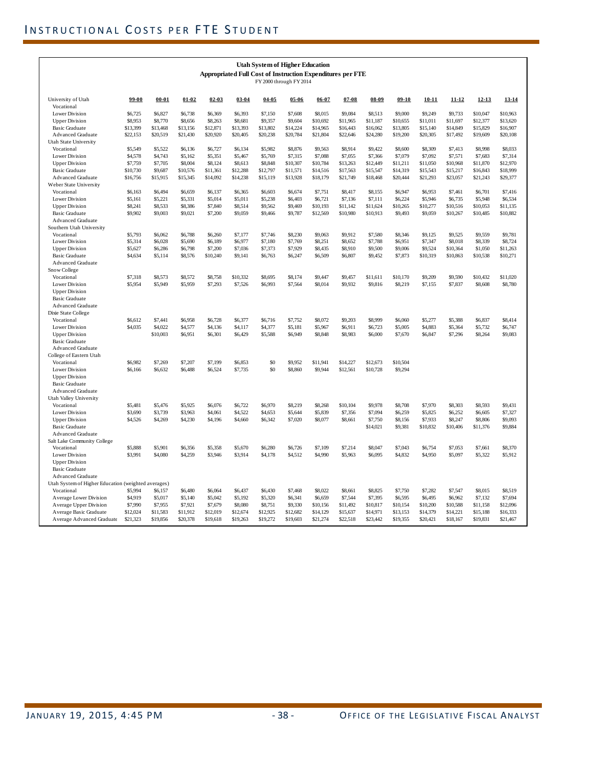| <b>Utah System of Higher Education</b><br>Appropriated Full Cost of Instruction Expenditures per FTE |                    |                    |                    |                    |                    |                    |           |                    |                    |                    |                    |                    |                    |                    |                    |
|------------------------------------------------------------------------------------------------------|--------------------|--------------------|--------------------|--------------------|--------------------|--------------------|-----------|--------------------|--------------------|--------------------|--------------------|--------------------|--------------------|--------------------|--------------------|
| FY 2000 through FY 2014                                                                              |                    |                    |                    |                    |                    |                    |           |                    |                    |                    |                    |                    |                    |                    |                    |
| University of Utah<br>Vocational                                                                     | 99-00              | $00 - 01$          | $01 - 02$          | $02 - 03$          | $03 - 04$          | $04 - 05$          | $05 - 06$ | $06 - 07$          | $07 - 08$          | $08 - 09$          | $09-10$            | $10 - 11$          | $11 - 12$          | $12 - 13$          | $13 - 14$          |
| Lower Division                                                                                       | \$6,725            | \$6,827            | \$6,738            | \$6,369            | \$6,393            | \$7,150            | \$7,608   | \$8,015            | \$9,084            | \$8,513            | \$9,000            | \$9,249            | \$9,733            | \$10,047           | \$10,963           |
| <b>Upper Division</b>                                                                                | \$8,953            | \$8,770            | \$8,656            | \$8,263            | \$8,681            | \$9,357            | \$9,604   | \$10,692           | \$11,965           | \$11,187           | \$10,655           | \$11,011           | \$11,697           | \$12,377           | \$13,620           |
| Basic Graduate                                                                                       | \$13,399           | \$13,468           | \$13,156           | \$12,871           | \$13,393           | \$13,802           | \$14,224  | \$14,965           | \$16,443           | \$16,062           | \$13,805           | \$15,140           | \$14,849           | \$15,829           | \$16,907           |
| <b>Advanced Graduate</b>                                                                             | \$22,153           | \$20,519           | \$21,430           | \$20,920           | \$20,405           | \$20,238           | \$20,784  | \$21,804           | \$22,646           | \$24,280           | \$19,200           | \$20,305           | \$17,492           | \$19,609           | \$20,108           |
| Utah State University                                                                                |                    |                    |                    |                    |                    |                    |           |                    |                    |                    |                    |                    |                    |                    |                    |
| Vocational                                                                                           | \$5,549            | \$5,522            | \$6,136            | \$6,727            | \$6,134            | \$5,982            | \$8,876   | \$9,563            | \$8,914            | \$9,422            | \$8,600            | \$8,309            | \$7,413            | \$8,998            | \$8,033            |
| Lower Division                                                                                       | \$4,578            | \$4,743            | \$5,162            | \$5,351            | \$5,467            | \$5,769            | \$7,315   | \$7,088            | \$7,055            | \$7,366            | \$7,079            | \$7,092            | \$7,571            | \$7,683            | \$7,314            |
| <b>Upper Division</b>                                                                                | \$7,759            | \$7,705            | \$8,004            | \$8,124            | \$8,613            | \$8,848            | \$10,307  | \$10,784           | \$13,263           | \$12,449           | \$11,211           | \$11,050           | \$10,968           | \$11,870           | \$12,970           |
| Basic Graduate                                                                                       | \$10,730           | \$9,687            | \$10,576           | \$11,361           | \$12,288           | \$12,797           | \$11,571  | \$14,516           | \$17,563           | \$15,547           | \$14,319           | \$15,543           | \$15,217           | \$16,843           | \$18,999           |
| Advanced Graduate                                                                                    | \$16,756           | \$15,915           | \$15,345           | \$14,092           | \$14,238           | \$15,119           | \$13,928  | \$18,179           | \$21,749           | \$18,468           | \$20,444           | \$21,293           | \$23,057           | \$21,243           | \$29,377           |
| Weber State University                                                                               |                    |                    |                    |                    |                    |                    |           |                    |                    |                    |                    |                    |                    |                    |                    |
| Vocational                                                                                           | \$6,163            | \$6,494            | \$6,659            | \$6,137            | \$6,365            | \$6,603            | \$6,674   | \$7,751            | \$8,417            | \$8,155            | \$6,947            | \$6,953            | \$7,461            | \$6,701            | \$7,416            |
| Lower Division                                                                                       | \$5,161            | \$5,221            | \$5,331            | \$5,014            | \$5,011            | \$5,238            | \$6,403   | \$6,721            | \$7,136            | \$7.111            | \$6,224            | \$5,946            | \$6,735            | \$5,948            | \$6,534            |
| <b>Upper Division</b>                                                                                | \$8,241            | \$8,533            | \$8,386            | \$7,840            | \$8,514            | \$9,562            | \$9,469   | \$10,193           | \$11,142           | \$11,624           | \$10,265           | \$10,277           | \$10,516           | \$10,053           | \$11,135           |
| <b>Basic Graduate</b>                                                                                | \$9,902            | \$9,003            | \$9,021            | \$7,200            | \$9,059            | \$9,466            | \$9,787   | \$12,569           | \$10,980           | \$10,913           | \$9,493            | \$9,059            | \$10,267           | \$10,485           | \$10,882           |
| <b>Advanced Graduate</b>                                                                             |                    |                    |                    |                    |                    |                    |           |                    |                    |                    |                    |                    |                    |                    |                    |
| Southern Utah University                                                                             |                    |                    |                    |                    |                    |                    | \$8,230   |                    |                    |                    |                    |                    |                    |                    |                    |
| Vocational<br>Lower Division                                                                         | \$5,793<br>\$5,314 | \$6,062<br>\$6,028 | \$6,788<br>\$5,690 | \$6,260<br>\$6,189 | \$7,177<br>\$6,977 | \$7,746<br>\$7,180 | \$7,769   | \$9,063<br>\$8,251 | \$9,912<br>\$8,652 | \$7,580<br>\$7,788 | \$8,346<br>\$6,951 | \$9,125<br>\$7,347 | \$9,525<br>\$8,018 | \$9,559<br>\$8,339 | \$9,781<br>\$8,724 |
| <b>Upper Division</b>                                                                                | \$5,627            | \$6,286            | \$6,798            | \$7,200            | \$7,036            | \$7,373            | \$7,929   | \$8,435            | \$8,910            | \$9,500            | \$9,006            | \$9,524            | \$10,364           | \$1,050            | \$11,263           |
| Basic Graduate                                                                                       | \$4,634            | \$5,114            | \$8,576            | \$10,240           | \$9,141            | \$6,763            | \$6,247   | \$6,509            | \$6,807            | \$9,452            | \$7,873            | \$10,319           | \$10,863           | \$10,538           | \$10,271           |
| <b>Advanced Graduate</b>                                                                             |                    |                    |                    |                    |                    |                    |           |                    |                    |                    |                    |                    |                    |                    |                    |
| Snow College                                                                                         |                    |                    |                    |                    |                    |                    |           |                    |                    |                    |                    |                    |                    |                    |                    |
| Vocational                                                                                           | \$7,318            | \$8,573            | \$8,572            | \$8,758            | \$10,332           | \$8,695            | \$8,174   | \$9,447            | \$9,457            | \$11,611           | \$10,170           | \$9,209            | \$9,590            | \$10,432           | \$11,020           |
| Lower Division                                                                                       | \$5,954            | \$5,949            | \$5,959            | \$7,293            | \$7,526            | \$6,993            | \$7,564   | \$8,014            | \$9,932            | \$9,816            | \$8,219            | \$7,155            | \$7,837            | \$8,608            | \$8,780            |
| <b>Upper Division</b>                                                                                |                    |                    |                    |                    |                    |                    |           |                    |                    |                    |                    |                    |                    |                    |                    |
| Basic Graduate                                                                                       |                    |                    |                    |                    |                    |                    |           |                    |                    |                    |                    |                    |                    |                    |                    |
| <b>Advanced Graduate</b>                                                                             |                    |                    |                    |                    |                    |                    |           |                    |                    |                    |                    |                    |                    |                    |                    |
| Dixie State College                                                                                  |                    |                    |                    |                    |                    |                    |           |                    |                    |                    |                    |                    |                    |                    |                    |
| Vocational                                                                                           | \$6,612            | \$7.441            | \$6,958            | \$6,728            | \$6,377            | \$6,716            | \$7,752   | \$8,072            | \$9,203            | \$8,999            | \$6,060            | \$5,277            | \$5,388            | \$6,837            | \$8.414            |
| Lower Division                                                                                       | \$4,035            | \$4,022            | \$4,577            | \$4,136            | \$4,117            | \$4,377            | \$5,181   | \$5,967            | \$6,911            | \$6,723            | \$5,005            | \$4,883            | \$5,364            | \$5,732            | \$6,747            |
| <b>Upper Division</b>                                                                                |                    | \$10,003           | \$6,951            | \$6,301            | \$6,429            | \$5,588            | \$6,949   | \$8,848            | \$8,983            | \$6,000            | \$7,670            | \$6,847            | \$7,296            | \$8,264            | \$9,083            |
| Basic Graduate                                                                                       |                    |                    |                    |                    |                    |                    |           |                    |                    |                    |                    |                    |                    |                    |                    |
| <b>Advanced Graduate</b>                                                                             |                    |                    |                    |                    |                    |                    |           |                    |                    |                    |                    |                    |                    |                    |                    |
| College of Eastern Utah<br>Vocational                                                                | \$6,982            | \$7,269            | \$7,207            | \$7,199            | \$6,853            | \$0                | \$9,952   | \$11,941           | \$14,227           | \$12,673           | \$10,504           |                    |                    |                    |                    |
| Lower Division                                                                                       | \$6,166            | \$6,632            | \$6,488            | \$6,524            | \$7,735            | \$0                | \$8,860   | \$9,944            | \$12,561           | \$10,728           | \$9,294            |                    |                    |                    |                    |
| <b>Upper Division</b>                                                                                |                    |                    |                    |                    |                    |                    |           |                    |                    |                    |                    |                    |                    |                    |                    |
| <b>Basic Graduate</b>                                                                                |                    |                    |                    |                    |                    |                    |           |                    |                    |                    |                    |                    |                    |                    |                    |
| <b>Advanced Graduate</b>                                                                             |                    |                    |                    |                    |                    |                    |           |                    |                    |                    |                    |                    |                    |                    |                    |
| Utah Valley University                                                                               |                    |                    |                    |                    |                    |                    |           |                    |                    |                    |                    |                    |                    |                    |                    |
| Vocational                                                                                           | \$5,481            | \$5,476            | \$5,925            | \$6,076            | \$6,722            | \$6,970            | \$8,219   | \$8,268            | \$10,104           | \$9,978            | \$8,708            | \$7,970            | \$8,303            | \$8,593            | \$9,431            |
| Lower Division                                                                                       | \$3,690            | \$3,739            | \$3,963            | \$4,061            | \$4,522            | \$4,653            | \$5,644   | \$5,839            | \$7,356            | \$7,094            | \$6,259            | \$5,825            | \$6,252            | \$6,605            | \$7,327            |
| <b>Upper Division</b>                                                                                | \$4,526            | \$4,269            | \$4,230            | \$4,196            | \$4,660            | \$6,342            | \$7,020   | \$8,077            | \$8,661            | \$7,750            | \$8,156            | \$7,933            | \$8,247            | \$8,806            | \$9,093            |
| <b>Basic Graduate</b>                                                                                |                    |                    |                    |                    |                    |                    |           |                    |                    | \$14,021           | \$9,381            | \$10,832           | \$10,406           | \$11,376           | \$9,884            |
| <b>Advanced Graduate</b>                                                                             |                    |                    |                    |                    |                    |                    |           |                    |                    |                    |                    |                    |                    |                    |                    |
| Salt Lake Community College                                                                          |                    |                    |                    |                    |                    |                    |           |                    |                    |                    |                    |                    |                    |                    |                    |
| Vocational                                                                                           | \$5,888            | \$5,901            | \$6,356            | \$5,358            | \$5,670            | \$6,280            | \$6,726   | \$7,109            | \$7,214            | \$8,047            | \$7,043            | \$6,754            | \$7,053            | \$7,661            | \$8,370            |
| Lower Division                                                                                       | \$3,991            | \$4,080            | \$4,259            | \$3,946            | \$3,914            | \$4,178            | \$4,512   | \$4,990            | \$5,963            | \$6,095            | \$4,832            | \$4,950            | \$5,097            | \$5,322            | \$5,912            |
| <b>Upper Division</b>                                                                                |                    |                    |                    |                    |                    |                    |           |                    |                    |                    |                    |                    |                    |                    |                    |
| Basic Graduate                                                                                       |                    |                    |                    |                    |                    |                    |           |                    |                    |                    |                    |                    |                    |                    |                    |
| <b>Advanced Graduate</b>                                                                             |                    |                    |                    |                    |                    |                    |           |                    |                    |                    |                    |                    |                    |                    |                    |
| Utah System of Higher Education (weighted averages)<br>Vocational                                    | \$5,994            | \$6,157            | \$6,480            | \$6,064            | \$6,437            | \$6,430            | \$7,468   | \$8,022            | \$8,661            | \$8,825            | \$7,750            | \$7,282            | \$7,547            | \$8,015            | \$8,519            |
| Average Lower Division                                                                               | \$4,919            | \$5,017            | \$5,140            | \$5,042            | \$5,192            | \$5,320            | \$6,341   | \$6,659            | \$7,544            | \$7,395            | \$6,595            | \$6,495            | \$6,962            | \$7,132            | \$7,694            |
| Average Upper Division                                                                               | \$7,990            | \$7,955            | \$7,921            | \$7,679            | \$8,080            | \$8,751            | \$9,330   | \$10,156           | \$11,492           | \$10,817           | \$10,154           | \$10,200           | \$10,588           | \$11,158           | \$12,096           |
| Average Basic Graduate                                                                               | \$12,024           | \$11,583           | \$11,912           | \$12,019           | \$12,674           | \$12,925           | \$12,682  | \$14,129           | \$15,637           | \$14,971           | \$13,153           | \$14,379           | \$14,221           | \$15,188           | \$16,333           |
| Average Advanced Graduate                                                                            | \$21,323           | \$19,856           | \$20,378           | \$19,618           | \$19,263           | \$19,272           | \$19,603  | \$21,274           | \$22.518           | \$23.442           | \$19,355           | \$20,421           | \$18,167           | \$19,831           | \$21,467           |